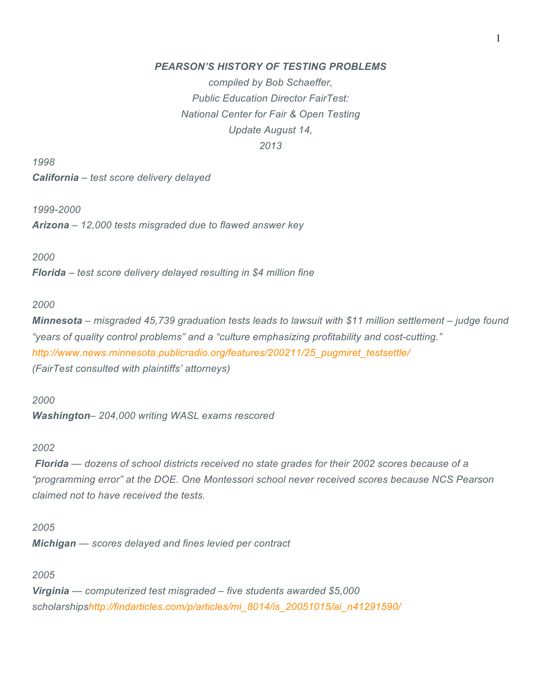# *PEARSON'S HISTORY OF TESTING PROBLEMS*

*compiled by Bob Schaeffer, Public Education Director FairTest: National Center for Fair & Open Testing Update August 14, 2013*

*1998*

*California – test score delivery delayed*

*1999-2000*

*Arizona – 12,000 tests misgraded due to flawed answer key*

*2000*

*Florida – test score delivery delayed resulting in \$4 million fine*

#### *2000*

*Minnesota – misgraded 45,739 graduation tests leads to lawsuit with \$11 million settlement – judge found "years of quality control problems" and a "culture emphasizing profitability and cost-cutting." http://www.news.minnesota.publicradio.org/features/200211/25\_pugmiret\_testsettle/ (FairTest consulted with plaintiffs' attorneys)*

*2000*

*Washington– 204,000 writing WASL exams rescored*

#### *2002*

*Florida — dozens of school districts received no state grades for their 2002 scores because of a "programming error" at the DOE. One Montessori school never received scores because NCS Pearson claimed not to have received the tests.*

*2005 Michigan — scores delayed and fines levied per contract*

*2005*

*Virginia — computerized test misgraded – five students awarded \$5,000 scholarshipshttp://findarticles.com/p/articles/mi\_8014/is\_20051015/ai\_n41291590/*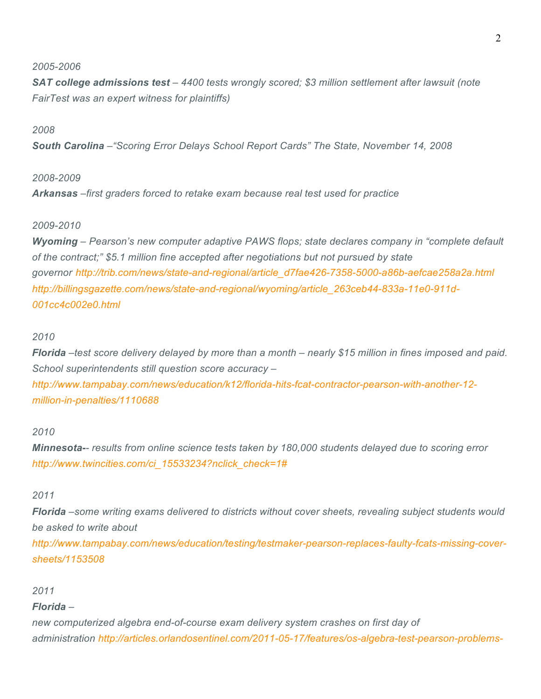## *2005-2006*

*SAT college admissions test – 4400 tests wrongly scored; \$3 million settlement after lawsuit (note FairTest was an expert witness for plaintiffs)*

## *2008*

*South Carolina –"Scoring Error Delays School Report Cards" The State, November 14, 2008*

## *2008-2009*

*Arkansas –first graders forced to retake exam because real test used for practice*

## *2009-2010*

*Wyoming – Pearson's new computer adaptive PAWS flops; state declares company in "complete default of the contract;" \$5.1 million fine accepted after negotiations but not pursued by state governor http://trib.com/news/state-and-regional/article\_d7fae426-7358-5000-a86b-aefcae258a2a.html http://billingsgazette.com/news/state-and-regional/wyoming/article\_263ceb44-833a-11e0-911d-001cc4c002e0.html*

### *2010*

Florida -test score delivery delayed by more than a month - nearly \$15 million in fines imposed and paid. *School superintendents still question score accuracy – http://www.tampabay.com/news/education/k12/florida-hits-fcat-contractor-pearson-with-another-12 million-in-penalties/1110688*

## *2010*

*Minnesota-- results from online science tests taken by 180,000 students delayed due to scoring error http://www.twincities.com/ci\_15533234?nclick\_check=1#*

# *2011*

*Florida –some writing exams delivered to districts without cover sheets, revealing subject students would be asked to write about*

*http://www.tampabay.com/news/education/testing/testmaker-pearson-replaces-faulty-fcats-missing-coversheets/1153508*

### *2011*

# *Florida –*

*new computerized algebra end-of-course exam delivery system crashes on first day of administration http://articles.orlandosentinel.com/2011-05-17/features/os-algebra-test-pearson-problems-*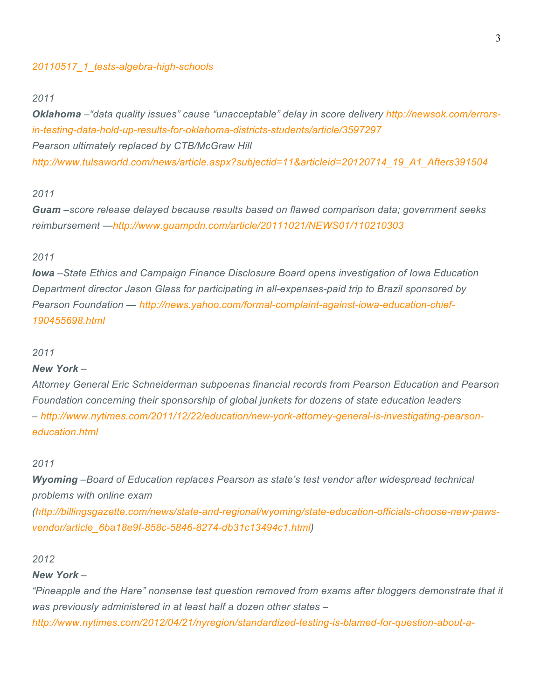## *20110517\_1\_tests-algebra-high-schools*

#### *2011*

*Oklahoma –"data quality issues" cause "unacceptable" delay in score delivery http://newsok.com/errorsin-testing-data-hold-up-results-for-oklahoma-districts-students/article/3597297 Pearson ultimately replaced by CTB/McGraw Hill http://www.tulsaworld.com/news/article.aspx?subjectid=11&articleid=20120714\_19\_A1\_Afters391504*

# *2011*

*Guam –score release delayed because results based on flawed comparison data; government seeks reimbursement —http://www.guampdn.com/article/20111021/NEWS01/110210303*

# *2011*

*Iowa –State Ethics and Campaign Finance Disclosure Board opens investigation of Iowa Education Department director Jason Glass for participating in all-expenses-paid trip to Brazil sponsored by Pearson Foundation — http://news.yahoo.com/formal-complaint-against-iowa-education-chief-190455698.html*

#### *2011*

#### *New York –*

*Attorney General Eric Schneiderman subpoenas financial records from Pearson Education and Pearson Foundation concerning their sponsorship of global junkets for dozens of state education leaders – http://www.nytimes.com/2011/12/22/education/new-york-attorney-general-is-investigating-pearsoneducation.html*

#### *2011*

*Wyoming –Board of Education replaces Pearson as state's test vendor after widespread technical problems with online exam*

*(http://billingsgazette.com/news/state-and-regional/wyoming/state-education-officials-choose-new-pawsvendor/article\_6ba18e9f-858c-5846-8274-db31c13494c1.html)*

#### *2012*

### *New York –*

*"Pineapple and the Hare" nonsense test question removed from exams after bloggers demonstrate that it was previously administered in at least half a dozen other states –*

*http://www.nytimes.com/2012/04/21/nyregion/standardized-testing-is-blamed-for-question-about-a-*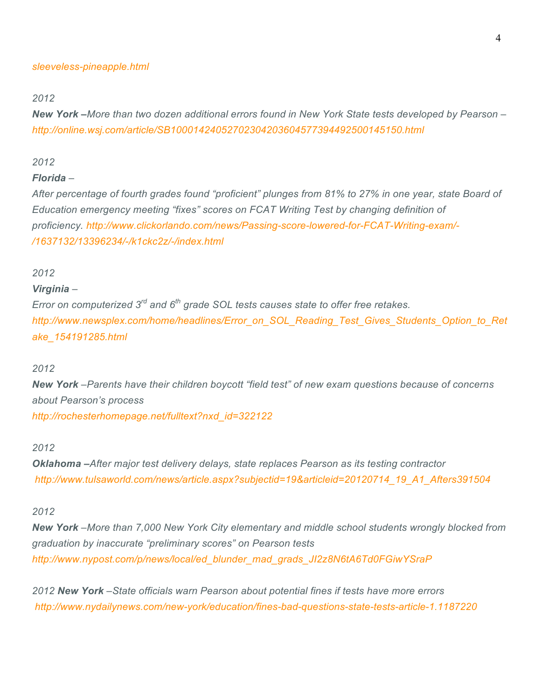### *sleeveless-pineapple.html*

#### *2012*

New York –More than two dozen additional errors found in New York State tests developed by Pearson – *http://online.wsj.com/article/SB10001424052702304203604577394492500145150.html*

# *2012*

## *Florida –*

After percentage of fourth grades found "proficient" plunges from 81% to 27% in one year, state Board of *Education emergency meeting "fixes" scores on FCAT Writing Test by changing definition of proficiency. http://www.clickorlando.com/news/Passing-score-lowered-for-FCAT-Writing-exam/- /1637132/13396234/-/k1ckc2z/-/index.html*

### *2012*

### *Virginia –*

*Error on computerized 3rd and 6th grade SOL tests causes state to offer free retakes. http://www.newsplex.com/home/headlines/Error\_on\_SOL\_Reading\_Test\_Gives\_Students\_Option\_to\_Ret ake\_154191285.html*

### *2012*

*New York –Parents have their children boycott "field test" of new exam questions because of concerns about Pearson's process http://rochesterhomepage.net/fulltext?nxd\_id=322122*

#### *2012*

*Oklahoma –After major test delivery delays, state replaces Pearson as its testing contractor http://www.tulsaworld.com/news/article.aspx?subjectid=19&articleid=20120714\_19\_A1\_Afters391504*

# *2012*

*New York –More than 7,000 New York City elementary and middle school students wrongly blocked from graduation by inaccurate "preliminary scores" on Pearson tests http://www.nypost.com/p/news/local/ed\_blunder\_mad\_grads\_JI2z8N6tA6Td0FGiwYSraP*

*2012 New York –State officials warn Pearson about potential fines if tests have more errors http://www.nydailynews.com/new-york/education/fines-bad-questions-state-tests-article-1.1187220*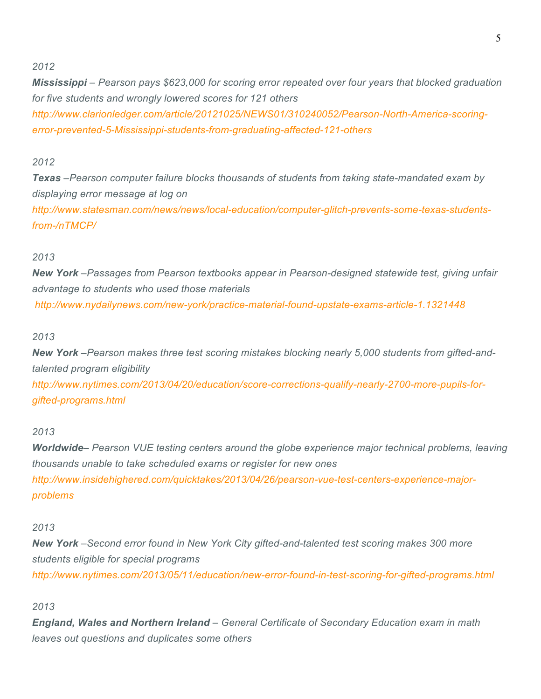# *2012*

*Mississippi – Pearson pays \$623,000 for scoring error repeated over four years that blocked graduation for five students and wrongly lowered scores for 121 others http://www.clarionledger.com/article/20121025/NEWS01/310240052/Pearson-North-America-scoringerror-prevented-5-Mississippi-students-from-graduating-affected-121-others*

# *2012*

*Texas –Pearson computer failure blocks thousands of students from taking state-mandated exam by displaying error message at log on*

*http://www.statesman.com/news/news/local-education/computer-glitch-prevents-some-texas-studentsfrom-/nTMCP/*

# *2013*

*New York –Passages from Pearson textbooks appear in Pearson-designed statewide test, giving unfair advantage to students who used those materials http://www.nydailynews.com/new-york/practice-material-found-upstate-exams-article-1.1321448*

## *2013*

*New York –Pearson makes three test scoring mistakes blocking nearly 5,000 students from gifted-andtalented program eligibility http://www.nytimes.com/2013/04/20/education/score-corrections-qualify-nearly-2700-more-pupils-forgifted-programs.html*

# *2013*

*Worldwide– Pearson VUE testing centers around the globe experience major technical problems, leaving thousands unable to take scheduled exams or register for new ones http://www.insidehighered.com/quicktakes/2013/04/26/pearson-vue-test-centers-experience-majorproblems*

### *2013*

*New York –Second error found in New York City gifted-and-talented test scoring makes 300 more students eligible for special programs http://www.nytimes.com/2013/05/11/education/new-error-found-in-test-scoring-for-gifted-programs.html*

# *2013*

*England, Wales and Northern Ireland – General Certificate of Secondary Education exam in math leaves out questions and duplicates some others*